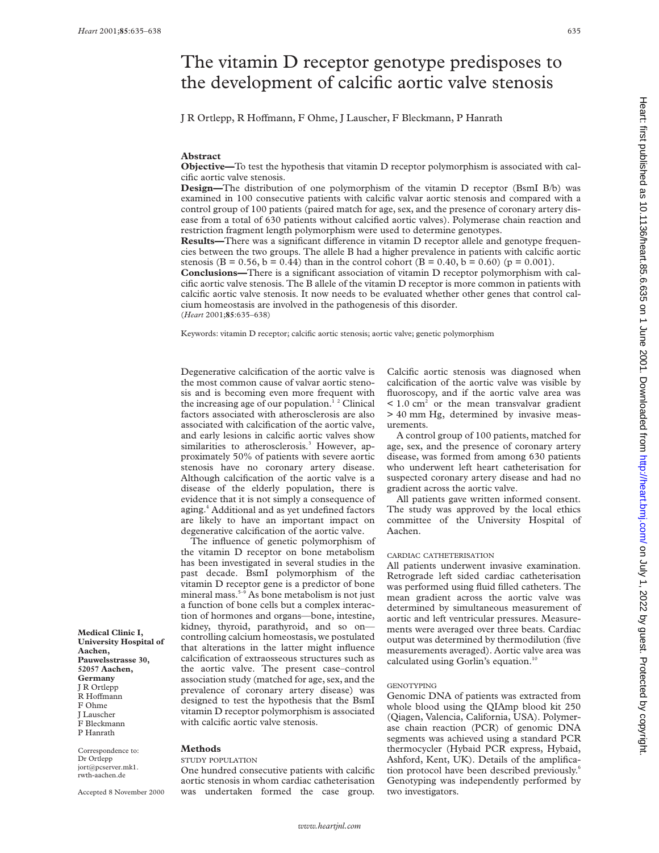# The vitamin D receptor genotype predisposes to the development of calcific aortic valve stenosis

J R Ortlepp, R Hoffmann, F Ohme, J Lauscher, F Bleckmann, P Hanrath

#### **Abstract**

**Objective—**To test the hypothesis that vitamin D receptor polymorphism is associated with calcific aortic valve stenosis.

**Design—**The distribution of one polymorphism of the vitamin D receptor (BsmI B/b) was examined in 100 consecutive patients with calcific valvar aortic stenosis and compared with a control group of 100 patients (paired match for age, sex, and the presence of coronary artery disease from a total of 630 patients without calcified aortic valves). Polymerase chain reaction and restriction fragment length polymorphism were used to determine genotypes.

**Results—There was a significant difference in vitamin D receptor allele and genotype frequen**cies between the two groups. The allele B had a higher prevalence in patients with calcific aortic stenosis (B = 0.56, b = 0.44) than in the control cohort (B = 0.40, b = 0.60) (p = 0.001).

**Conclusions—**There is a significant association of vitamin D receptor polymorphism with calcific aortic valve stenosis. The B allele of the vitamin D receptor is more common in patients with calcific aortic valve stenosis. It now needs to be evaluated whether other genes that control calcium homeostasis are involved in the pathogenesis of this disorder.

(*Heart* 2001;**85**:635–638)

Keywords: vitamin D receptor; calcific aortic stenosis; aortic valve; genetic polymorphism

Degenerative calcification of the aortic valve is the most common cause of valvar aortic stenosis and is becoming even more frequent with the increasing age of our population.<sup>12</sup> Clinical factors associated with atherosclerosis are also associated with calcification of the aortic valve, and early lesions in calcific aortic valves show similarities to atherosclerosis.<sup>3</sup> However, approximately 50% of patients with severe aortic stenosis have no coronary artery disease. Although calcification of the aortic valve is a disease of the elderly population, there is evidence that it is not simply a consequence of aging.4 Additional and as yet undefined factors are likely to have an important impact on degenerative calcification of the aortic valve.

The influence of genetic polymorphism of the vitamin D receptor on bone metabolism has been investigated in several studies in the past decade. BsmI polymorphism of the vitamin D receptor gene is a predictor of bone mineral mass.<sup> $5-\overline{9}$ </sup> As bone metabolism is not just a function of bone cells but a complex interaction of hormones and organs—bone, intestine, kidney, thyroid, parathyroid, and so on controlling calcium homeostasis, we postulated that alterations in the latter might influence calcification of extraosseous structures such as the aortic valve. The present case–control association study (matched for age, sex, and the prevalence of coronary artery disease) was designed to test the hypothesis that the BsmI vitamin D receptor polymorphism is associated with calcific aortic valve stenosis.

#### **Methods**

#### STUDY POPULATION

One hundred consecutive patients with calcific aortic stenosis in whom cardiac catheterisation was undertaken formed the case group. Calcific aortic stenosis was diagnosed when calcification of the aortic valve was visible by fluoroscopy, and if the aortic valve area was  $< 1.0$  cm<sup>2</sup> or the mean transvalvar gradient > 40 mm Hg, determined by invasive measurements.

A control group of 100 patients, matched for age, sex, and the presence of coronary artery disease, was formed from among 630 patients who underwent left heart catheterisation for suspected coronary artery disease and had no gradient across the aortic valve.

All patients gave written informed consent. The study was approved by the local ethics committee of the University Hospital of Aachen.

#### CARDIAC CATHETERISATION

All patients underwent invasive examination. Retrograde left sided cardiac catheterisation was performed using fluid filled catheters. The mean gradient across the aortic valve was determined by simultaneous measurement of aortic and left ventricular pressures. Measurements were averaged over three beats. Cardiac output was determined by thermodilution (five measurements averaged). Aortic valve area was calculated using Gorlin's equation.<sup>10</sup>

#### **GENOTYPING**

Genomic DNA of patients was extracted from whole blood using the QIAmp blood kit 250 (Qiagen, Valencia, California, USA). Polymerase chain reaction (PCR) of genomic DNA segments was achieved using a standard PCR thermocycler (Hybaid PCR express, Hybaid, Ashford, Kent, UK). Details of the amplification protocol have been described previously.<sup>6</sup> Genotyping was independently performed by two investigators.

**Medical Clinic I, University Hospital of Aachen, Pauwelsstrasse 30, 52057 Aachen, Germany** J R Ortlepp R Hoffmann F Ohme J Lauscher F Bleckmann P Hanrath

Correspondence to: Dr Ortlepp jort@pcserver.mk1. rwth-aachen.de

Accepted 8 November 2000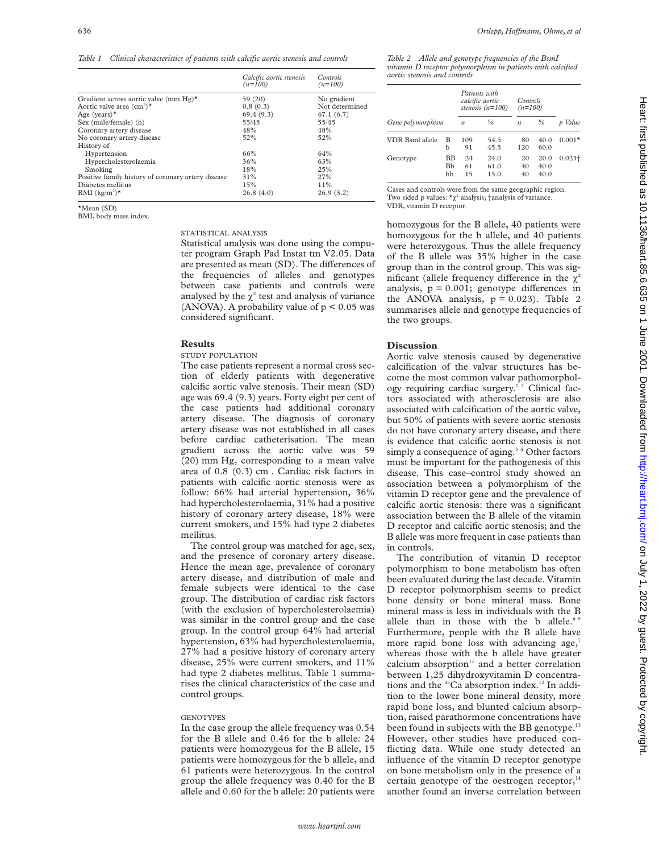*Table 1 Clinical characteristics of patients with calcific aortic stenosis and controls*

|                                                      | Calcific aortic stenosis<br>$(n=100)$ | Controls<br>$(n=100)$ |  |
|------------------------------------------------------|---------------------------------------|-----------------------|--|
| Gradient across aortic valve (mm $Hg$ ) <sup>*</sup> | 59 (20)                               | No gradient           |  |
| Aortic valve area $(cm^2)^*$                         | 0.8(0.3)                              | Not determined        |  |
| Age (years) $*$                                      | 69.4(9.3)                             | 67.1(6.7)             |  |
| Sex (male/female) (n)                                | 55/45                                 | 55/45                 |  |
| Coronary artery disease                              | 48%                                   | 48%                   |  |
| No coronary artery disease                           | 52%                                   | 52%                   |  |
| History of                                           |                                       |                       |  |
| Hypertension                                         | 66%                                   | 64%                   |  |
| Hypercholesterolaemia                                | 36%                                   | 63%                   |  |
| Smoking                                              | 18%                                   | 25%                   |  |
| Positive family history of coronary artery disease   | 31%                                   | 27%                   |  |
| Diabetes mellitus                                    | 15%                                   | 11%                   |  |
| BMI $(kg/m^2)$ *                                     | 26.8(4.0)                             | 26.9(3.2)             |  |

\*Mean (SD).

BMI, body mass index.

STATISTICAL ANALYSIS

Statistical analysis was done using the computer program Graph Pad Instat tm V2.05. Data are presented as mean (SD). The differences of the frequencies of alleles and genotypes between case patients and controls were analysed by the  $\chi^2$  test and analysis of variance (ANOVA). A probability value of  $p < 0.05$  was considered significant.

#### **Results**

#### STUDY POPULATION

The case patients represent a normal cross section of elderly patients with degenerative calcific aortic valve stenosis. Their mean (SD) age was 69.4 (9.3) years. Forty eight per cent of the case patients had additional coronary artery disease. The diagnosis of coronary artery disease was not established in all cases before cardiac catheterisation. The mean gradient across the aortic valve was 59 (20) mm Hg, corresponding to a mean valve area of 0.8 (0.3) cm . Cardiac risk factors in patients with calcific aortic stenosis were as follow: 66% had arterial hypertension, 36% had hypercholesterolaemia, 31% had a positive history of coronary artery disease, 18% were current smokers, and 15% had type 2 diabetes mellitus.

The control group was matched for age, sex, and the presence of coronary artery disease. Hence the mean age, prevalence of coronary artery disease, and distribution of male and female subjects were identical to the case group. The distribution of cardiac risk factors (with the exclusion of hypercholesterolaemia) was similar in the control group and the case group. In the control group 64% had arterial hypertension, 63% had hypercholesterolaemia, 27% had a positive history of coronary artery disease, 25% were current smokers, and 11% had type 2 diabetes mellitus. Table 1 summarises the clinical characteristics of the case and control groups.

#### **GENOTYPES**

In the case group the allele frequency was 0.54 for the B allele and 0.46 for the b allele: 24 patients were homozygous for the B allele, 15 patients were homozygous for the b allele, and 61 patients were heterozygous. In the control group the allele frequency was 0.40 for the B allele and 0.60 for the b allele: 20 patients were *Table 2 Allele and genotype frequencies of the BsmI vitamin D receptor polymorphism in patients with calcified aortic stenosis and controls*

|                        |           | Patients with<br>calcific aortic<br>stenosis $(n=100)$ |      | Controls<br>$(n=100)$ |      |           |
|------------------------|-----------|--------------------------------------------------------|------|-----------------------|------|-----------|
| Gene polymorphism      |           | $\boldsymbol{n}$                                       | $\%$ | $\boldsymbol{n}$      | $\%$ | p Value   |
| <b>VDR</b> Bsml allele | в         | 109                                                    | 54.5 | 80                    | 40.0 | $0.001*$  |
|                        | b         | 91                                                     | 45.5 | 120                   | 60.0 |           |
| Genotype               | <b>BB</b> | 24                                                     | 24.0 | 20                    | 20.0 | $0.023 +$ |
|                        | Bb        | 61                                                     | 61.0 | 40                    | 40.0 |           |
|                        | bb        | 15                                                     | 15.0 | 40                    | 40.0 |           |

Cases and controls were from the same geographic region. Two sided p values:  $\star \chi^2$  analysis; †analysis of variance. VDR, vitamin D receptor.

homozygous for the B allele, 40 patients were homozygous for the b allele, and 40 patients were heterozygous. Thus the allele frequency of the B allele was 35% higher in the case group than in the control group. This was significant (allele frequency difference in the  $\chi^2$ analysis,  $p = 0.001$ ; genotype differences in the ANOVA analysis,  $p = 0.023$ ). Table 2 summarises allele and genotype frequencies of the two groups.

#### **Discussion**

Aortic valve stenosis caused by degenerative calcification of the valvar structures has become the most common valvar pathomorphology requiring cardiac surgery.<sup>12</sup> Clinical factors associated with atherosclerosis are also associated with calcification of the aortic valve, but 50% of patients with severe aortic stenosis do not have coronary artery disease, and there is evidence that calcific aortic stenosis is not simply a consequence of aging.<sup>34</sup> Other factors must be important for the pathogenesis of this disease. This case–control study showed an association between a polymorphism of the vitamin D receptor gene and the prevalence of calcific aortic stenosis: there was a significant association between the B allele of the vitamin D receptor and calcific aortic stenosis; and the B allele was more frequent in case patients than in controls.

The contribution of vitamin D receptor polymorphism to bone metabolism has often been evaluated during the last decade. Vitamin D receptor polymorphism seems to predict bone density or bone mineral mass. Bone mineral mass is less in individuals with the B allele than in those with the b allele. $6-9$ Furthermore, people with the B allele have more rapid bone loss with advancing age, $\overline{3}$ whereas those with the b allele have greater calcium absorption<sup>11</sup> and a better correlation between 1,25 dihydroxyvitamin D concentrations and the  $45$ Ca absorption index.<sup>12</sup> In addition to the lower bone mineral density, more rapid bone loss, and blunted calcium absorption, raised parathormone concentrations have been found in subjects with the BB genotype.<sup>13</sup> However, other studies have produced conflicting data. While one study detected an influence of the vitamin D receptor genotype on bone metabolism only in the presence of a certain genotype of the oestrogen receptor, $14$ another found an inverse correlation between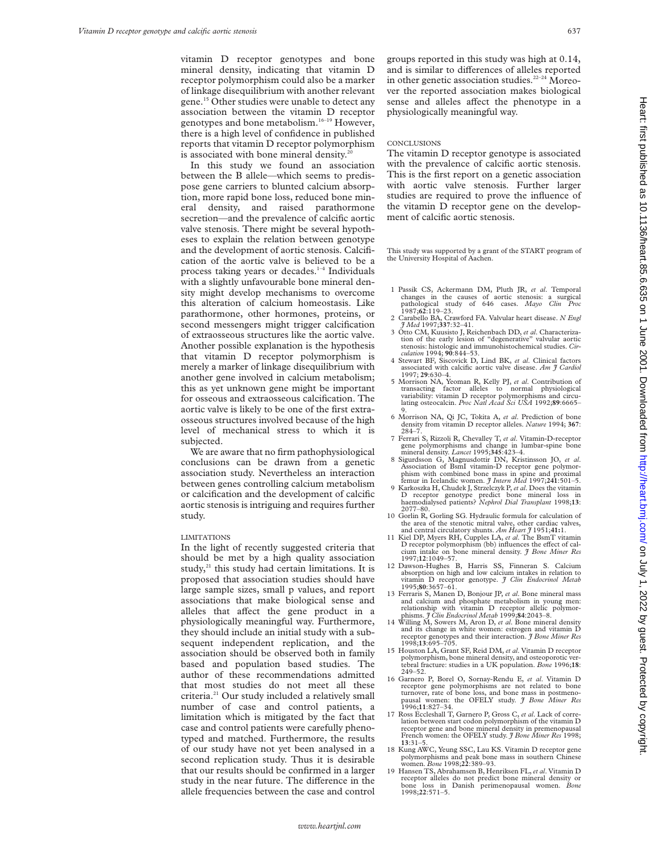vitamin D receptor genotypes and bone mineral density, indicating that vitamin D receptor polymorphism could also be a marker of linkage disequilibrium with another relevant gene.15 Other studies were unable to detect any association between the vitamin D receptor genotypes and bone metabolism.<sup>16-19</sup> However, there is a high level of confidence in published reports that vitamin D receptor polymorphism is associated with bone mineral density.<sup>2</sup>

In this study we found an association between the B allele—which seems to predispose gene carriers to blunted calcium absorption, more rapid bone loss, reduced bone mineral density, and raised parathormone secretion—and the prevalence of calcific aortic valve stenosis. There might be several hypotheses to explain the relation between genotype and the development of aortic stenosis. Calcification of the aortic valve is believed to be a process taking years or decades.<sup>1-4</sup> Individuals with a slightly unfavourable bone mineral density might develop mechanisms to overcome this alteration of calcium homeostasis. Like parathormone, other hormones, proteins, or second messengers might trigger calcification of extraosseous structures like the aortic valve. Another possible explanation is the hypothesis that vitamin D receptor polymorphism is merely a marker of linkage disequilibrium with another gene involved in calcium metabolism; this as yet unknown gene might be important for osseous and extraosseous calcification. The aortic valve is likely to be one of the first extraosseous structures involved because of the high level of mechanical stress to which it is subjected.

We are aware that no firm pathophysiological conclusions can be drawn from a genetic association study. Nevertheless an interaction between genes controlling calcium metabolism or calcification and the development of calcific aortic stenosis is intriguing and requires further study.

#### LIMITATIONS

In the light of recently suggested criteria that should be met by a high quality association study, $21$  this study had certain limitations. It is proposed that association studies should have large sample sizes, small p values, and report associations that make biological sense and alleles that affect the gene product in a physiologically meaningful way. Furthermore, they should include an initial study with a subsequent independent replication, and the association should be observed both in family based and population based studies. The author of these recommendations admitted that most studies do not meet all these criteria.<sup>21</sup> Our study included a relatively small number of case and control patients, a limitation which is mitigated by the fact that case and control patients were carefully phenotyped and matched. Furthermore, the results of our study have not yet been analysed in a second replication study. Thus it is desirable that our results should be confirmed in a larger study in the near future. The difference in the allele frequencies between the case and control

groups reported in this study was high at 0.14, and is similar to differences of alleles reported in other genetic association studies.<sup>22–24</sup> Moreover the reported association makes biological sense and alleles affect the phenotype in a physiologically meaningful way.

#### **CONCLUSIONS**

The vitamin D receptor genotype is associated with the prevalence of calcific aortic stenosis. This is the first report on a genetic association with aortic valve stenosis. Further larger studies are required to prove the influence of the vitamin D receptor gene on the development of calcific aortic stenosis.

This study was supported by a grant of the START program of the University Hospital of Aachen.

- 1 Passik CS, Ackermann DM, Pluth JR, *et al*. Temporal changes in the causes of aortic stenosis: a surgical pathological study of 646 cases. *Mayo Clin Proc* 1987;**62**:119–23.
- 2 Carabello BA, Crawford FA. Valvular heart disease. *N Engl*
- *J Med* 1997;**337**:32–41. 3 Otto CM, Kuusisto J, Reichenbach DD, *et al*. Characteriza-tion of the early lesion of "degenerative" valvular aortic stenosis: histologic and immunohistochemical studies. *Cir-culation* 1994; **90**:844–53.
- 4 Stewart BF, Siscovick D, Lind BK, *et al*. Clinical factors associated with calcific aortic valve disease. *Am J Cardiol* 1997; **29**:630–4.
- 5 Morrison NA, Yeoman R, Kelly PJ, *et al*. Contribution of transacting factor alleles to normal physiological variability: vitamin D receptor polymorphisms and circulating osteocalcin. *Proc Natl Acad Šci USA* 1992;89:6665-
- 6 Morrison NA, Qi JC, Tokita A, *et al*. Prediction of bone density from vitamin D receptor alleles. *Nature* 1994; **367**: 284–7.
- 7 Ferrari S, Rizzoli R, Chevalley T, *et al*. Vitamin-D-receptor gene polymorphisms and change in lumbar-spine bone
- mineral density. *Lancet* 1995;345:423-4.<br>8 Sigurdsson G, Magnusdottir DN, Kristinsson JO, et al.<br>Association of Bsml vitamin-D receptor gene polymor-<br>phism with combined bone mass in spine and proximal<br>femur in Icelandic
- 9 Karkoszka H, Chudek J, Strzelczyk P, *et al*. Does the vitamin D receptor genotype predict bone mineral loss in haemodialysed patients? *Nephrol Dial Transplant* 1998;**13**:
- 2077–80. 10 Gorlin R, Gorling SG. Hydraulic formula for calculation of the area of the stenotic mitral valve, other cardiac valves, and central circulatory shunts. *Am Heart J* 1951;41:1.<br>11 Kiel DP, Myers RH, Cupples LA, *et al*. The BsmT vitamin
- D receptor polymorphism (bb) influences the effect of cal-<br>cium intake on bone mineral density. *J Bone Miner Res*
- 1997;**12**:1049–57. 12 Dawson-Hughes B, Harris SS, Finneran S. Calcium absorption on high and low calcium intakes in relation to vitamin D receptor genotype. *J Clin Endocrinol Metab* 1995;**80**:3657–61.
- 13 Ferraris S, Manen D, Bonjour JP, *et al*. Bone mineral mass and calcium and phosphate metabolism in young men: relationship with vitamin D receptor allelic polymor-
- phisms. *J Clin Endocrinol Metab* 1999;**84**:2043–8. 14 Willing M, Sowers M, Aron D, *et al*. Bone mineral density and its change in white women: estrogen and vitamin D receptor genotypes and their interaction. *J Bone Miner Res* 1998;**13**:695–705.
- 15 Houston LA, Grant SF, Reid DM, *et al*. Vitamin D receptor polymorphism, bone mineral density, and osteoporotic vertebral fracture: studies in a UK population. *Bone* 1996;**18**: 249–52.
- 16 Garnero P, Borel O, Sornay-Rendu E, *et al*. Vitamin D receptor gene polymorphisms are not related to bone turnover, rate of bone loss, and bone mass in postmenopausal women: the OFELY study. *J Bone Miner Res* 1996;**11**:827–34.
- 17 Ross Eccleshall T, Garnero P, Gross C, *et al*. Lack of correlation between start codon polymorphism of the vitamin D receptor gene and bone mineral density in premenopausal French women: the OFELY study. *J Bone Miner Res* 1998; **13**:31–5.
- 18 Kung AWC, Yeung SSC, Lau KS. Vitamin D receptor gene polymorphisms and peak bone mass in southern Chinese women. *Bone* 1998;**22**:389–93.
- 19 Hansen TS, Abrahamsen B, Henriksen FL,*et al*. Vitamin D receptor alleles do not predict bone mineral density or bone loss in Danish perimenopausal women. *Bone* 1998;**22**:571–5.